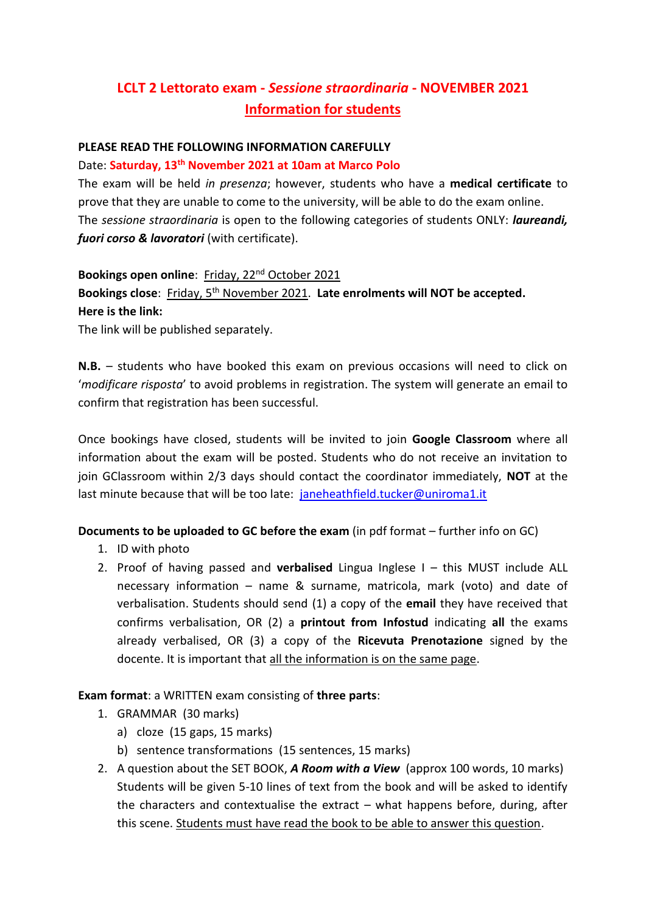# **LCLT 2 Lettorato exam -** *Sessione straordinaria* **- NOVEMBER 2021 Information for students**

### **PLEASE READ THE FOLLOWING INFORMATION CAREFULLY**

### Date: **Saturday, 13th November 2021 at 10am at Marco Polo**

The exam will be held *in presenza*; however, students who have a **medical certificate** to prove that they are unable to come to the university, will be able to do the exam online. The *sessione straordinaria* is open to the following categories of students ONLY: *laureandi, fuori corso & lavoratori* (with certificate).

**Bookings open online**: Friday, 22nd October 2021 Bookings close: Friday, 5<sup>th</sup> November 2021. Late enrolments will NOT be accepted. **Here is the link:**

The link will be published separately.

**N.B.** – students who have booked this exam on previous occasions will need to click on '*modificare risposta*' to avoid problems in registration. The system will generate an email to confirm that registration has been successful.

Once bookings have closed, students will be invited to join **Google Classroom** where all information about the exam will be posted. Students who do not receive an invitation to join GClassroom within 2/3 days should contact the coordinator immediately, **NOT** at the last minute because that will be too late: janeheathfield.tucker@uniroma1.it

### **Documents to be uploaded to GC before the exam** (in pdf format – further info on GC)

- 1. ID with photo
- 2. Proof of having passed and **verbalised** Lingua Inglese I this MUST include ALL necessary information – name & surname, matricola, mark (voto) and date of verbalisation. Students should send (1) a copy of the **email** they have received that confirms verbalisation, OR (2) a **printout from Infostud** indicating **all** the exams already verbalised, OR (3) a copy of the **Ricevuta Prenotazione** signed by the docente. It is important that all the information is on the same page.

### **Exam format**: a WRITTEN exam consisting of **three parts**:

- 1. GRAMMAR (30 marks)
	- a) cloze (15 gaps, 15 marks)
	- b) sentence transformations (15 sentences, 15 marks)
- 2. A question about the SET BOOK, *A Room with a View* (approx 100 words, 10 marks) Students will be given 5-10 lines of text from the book and will be asked to identify the characters and contextualise the extract – what happens before, during, after this scene. Students must have read the book to be able to answer this question.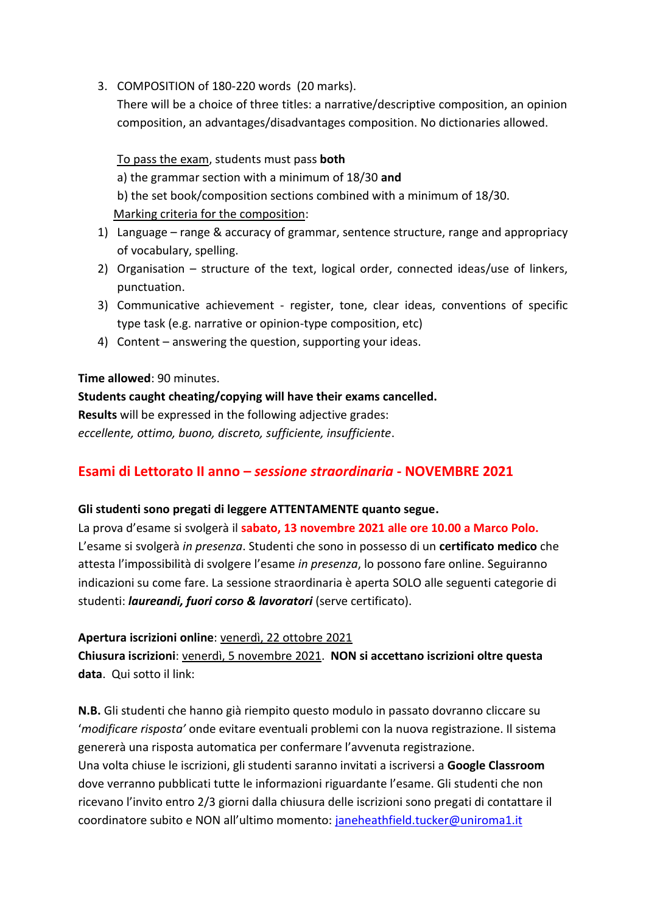3. COMPOSITION of 180-220 words (20 marks).

There will be a choice of three titles: a narrative/descriptive composition, an opinion composition, an advantages/disadvantages composition. No dictionaries allowed.

To pass the exam, students must pass **both** a) the grammar section with a minimum of 18/30 **and** b) the set book/composition sections combined with a minimum of 18/30. Marking criteria for the composition:

- 1) Language range & accuracy of grammar, sentence structure, range and appropriacy of vocabulary, spelling.
- 2) Organisation structure of the text, logical order, connected ideas/use of linkers, punctuation.
- 3) Communicative achievement register, tone, clear ideas, conventions of specific type task (e.g. narrative or opinion-type composition, etc)
- 4) Content answering the question, supporting your ideas.

# **Time allowed**: 90 minutes.

**Students caught cheating/copying will have their exams cancelled. Results** will be expressed in the following adjective grades: *eccellente, ottimo, buono, discreto, sufficiente, insufficiente*.

# **Esami di Lettorato II anno –** *sessione straordinaria* **- NOVEMBRE 2021**

### **Gli studenti sono pregati di leggere ATTENTAMENTE quanto segue.**

La prova d'esame si svolgerà il **sabato, 13 novembre 2021 alle ore 10.00 a Marco Polo.** L'esame si svolgerà *in presenza*. Studenti che sono in possesso di un **certificato medico** che attesta l'impossibilità di svolgere l'esame *in presenza*, lo possono fare online. Seguiranno indicazioni su come fare. La sessione straordinaria è aperta SOLO alle seguenti categorie di studenti: *laureandi, fuori corso & lavoratori* (serve certificato).

**Apertura iscrizioni online**: venerdì, 22 ottobre 2021

**Chiusura iscrizioni**: venerdì, 5 novembre 2021. **NON si accettano iscrizioni oltre questa data**. Qui sotto il link:

**N.B.** Gli studenti che hanno già riempito questo modulo in passato dovranno cliccare su '*modificare risposta'* onde evitare eventuali problemi con la nuova registrazione. Il sistema genererà una risposta automatica per confermare l'avvenuta registrazione. Una volta chiuse le iscrizioni, gli studenti saranno invitati a iscriversi a **Google Classroom** dove verranno pubblicati tutte le informazioni riguardante l'esame. Gli studenti che non ricevano l'invito entro 2/3 giorni dalla chiusura delle iscrizioni sono pregati di contattare il coordinatore subito e NON all'ultimo momento: [janeheathfield.tucker@uniroma1.it](mailto:janeheathfield.tucker@uniroma1.it)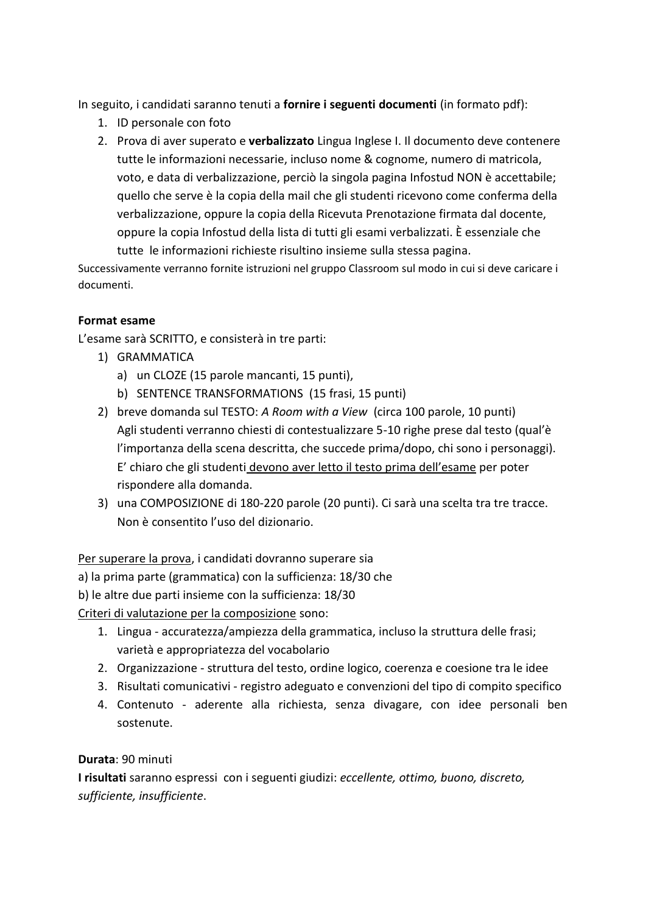In seguito, i candidati saranno tenuti a **fornire i seguenti documenti** (in formato pdf):

- 1. ID personale con foto
- 2. Prova di aver superato e **verbalizzato** Lingua Inglese I. Il documento deve contenere tutte le informazioni necessarie, incluso nome & cognome, numero di matricola, voto, e data di verbalizzazione, perciò la singola pagina Infostud NON è accettabile; quello che serve è la copia della mail che gli studenti ricevono come conferma della verbalizzazione, oppure la copia della Ricevuta Prenotazione firmata dal docente, oppure la copia Infostud della lista di tutti gli esami verbalizzati. È essenziale che tutte le informazioni richieste risultino insieme sulla stessa pagina.

Successivamente verranno fornite istruzioni nel gruppo Classroom sul modo in cui si deve caricare i documenti.

# **Format esame**

L'esame sarà SCRITTO, e consisterà in tre parti:

- 1) GRAMMATICA
	- a) un CLOZE (15 parole mancanti, 15 punti),
	- b) SENTENCE TRANSFORMATIONS (15 frasi, 15 punti)
- 2) breve domanda sul TESTO: *A Room with a View* (circa 100 parole, 10 punti) Agli studenti verranno chiesti di contestualizzare 5-10 righe prese dal testo (qual'è l'importanza della scena descritta, che succede prima/dopo, chi sono i personaggi). E' chiaro che gli studenti devono aver letto il testo prima dell'esame per poter rispondere alla domanda.
- 3) una COMPOSIZIONE di 180-220 parole (20 punti). Ci sarà una scelta tra tre tracce. Non è consentito l'uso del dizionario.

Per superare la prova, i candidati dovranno superare sia

a) la prima parte (grammatica) con la sufficienza: 18/30 che

b) le altre due parti insieme con la sufficienza: 18/30

Criteri di valutazione per la composizione sono:

- 1. Lingua accuratezza/ampiezza della grammatica, incluso la struttura delle frasi; varietà e appropriatezza del vocabolario
- 2. Organizzazione struttura del testo, ordine logico, coerenza e coesione tra le idee
- 3. Risultati comunicativi registro adeguato e convenzioni del tipo di compito specifico
- 4. Contenuto aderente alla richiesta, senza divagare, con idee personali ben sostenute.

### **Durata**: 90 minuti

**I risultati** saranno espressi con i seguenti giudizi: *eccellente, ottimo, buono, discreto, sufficiente, insufficiente*.